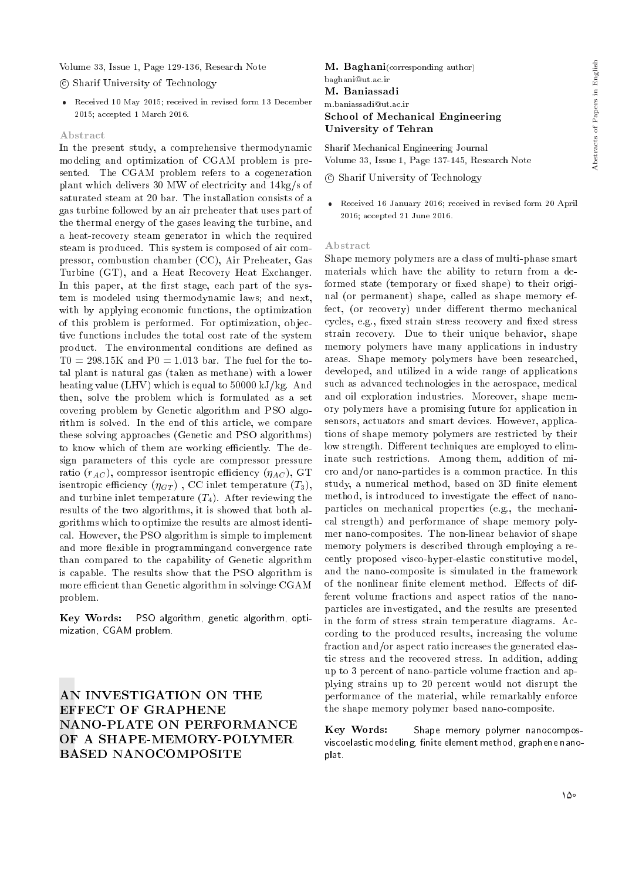Volume 33, Issue 1, Page 129-136, Research Note

## c Sharif University of Technology

 Received 10 May 2015; received in revised form 13 December 2015; accepted 1 March 2016.

#### Abstract

In the present study, a comprehensive thermodynamic modeling and optimization of CGAM problem is presented. The CGAM problem refers to a cogeneration plant which delivers 30 MW of electricity and 14kg/s of saturated steam at 20 bar. The installation consists of a gas turbine followed by an air preheater that uses part of the thermal energy of the gases leaving the turbine, and a heat-recovery steam generator in which the required steam is produced. This system is composed of air compressor, combustion chamber (CC), Air Preheater, Gas Turbine (GT), and a Heat Recovery Heat Exchanger. In this paper, at the first stage, each part of the system is modeled using thermodynamic laws; and next, with by applying economic functions, the optimization of this problem is performed. For optimization, objective functions includes the total cost rate of the system product. The environmental conditions are defined as  $T0 = 298.15$ K and  $P0 = 1.013$  bar. The fuel for the total plant is natural gas (taken as methane) with a lower heating value (LHV) which is equal to 50000 kJ/kg. And then, solve the problem which is formulated as a set covering problem by Genetic algorithm and PSO algorithm is solved. In the end of this article, we compare these solving approaches (Genetic and PSO algorithms) to know which of them are working efficiently. The design parameters of this cycle are compressor pressure ratio  $(r_{AC})$ , compressor isentropic efficiency  $(\eta_{AC})$ , GT isentropic efficiency  $(\eta_{GT})$ , CC inlet temperature  $(T_3)$ , and turbine inlet temperature  $(T_4)$ . After reviewing the results of the two algorithms, it is showed that both algorithms which to optimize the results are almost identical. However, the PSO algorithm is simple to implement and more flexible in programmingand convergence rate than compared to the capability of Genetic algorithm is capable. The results show that the PSO algorithm is more efficient than Genetic algorithm in solvinge CGAM problem.

Key Words: PSO algorithm, genetic algorithm, optimization, CGAM problem.

# AN INVESTIGATION ON THE EFFECT OF GRAPHENE NANO-PLATE ON PERFORMANCE OF A SHAPE-MEMORY-POLYMER BASED NANOCOMPOSITE

M. Baghani(corresponding author) baghani@ut.ac.ir M. Baniassadi m.baniassadi@ut.ac.ir School of Mechanical Engineering University of Tehran

Sharif Mechanical Engineering Journal Volume 33, Issue 1, Page 137-145, Research Note

c Sharif University of Technology

 Received 16 January 2016; received in revised form 20 April 2016; accepted 21 June 2016.

## Abstract

Shape memory polymers are a class of multi-phase smart materials which have the ability to return from a deformed state (temporary or fixed shape) to their original (or permanent) shape, called as shape memory effect, (or recovery) under different thermo mechanical cycles, e.g., fixed strain stress recovery and fixed stress strain recovery. Due to their unique behavior, shape memory polymers have many applications in industry areas. Shape memory polymers have been researched, developed, and utilized in a wide range of applications such as advanced technologies in the aerospace, medical and oil exploration industries. Moreover, shape memory polymers have a promising future for application in sensors, actuators and smart devices. However, applications of shape memory polymers are restricted by their low strength. Different techniques are employed to eliminate such restrictions. Among them, addition of micro and/or nano-particles is a common practice. In this study, a numerical method, based on 3D finite element method, is introduced to investigate the effect of nanoparticles on mechanical properties (e.g., the mechanical strength) and performance of shape memory polymer nano-composites. The non-linear behavior of shape memory polymers is described through employing a recently proposed visco-hyper-elastic constitutive model, and the nano-composite is simulated in the framework of the nonlinear finite element method. Effects of different volume fractions and aspect ratios of the nanoparticles are investigated, and the results are presented in the form of stress strain temperature diagrams. According to the produced results, increasing the volume fraction and/or aspect ratio increases the generated elastic stress and the recovered stress. In addition, adding up to 3 percent of nano-particle volume fraction and applying strains up to 20 percent would not disrupt the performance of the material, while remarkably enforce the shape memory polymer based nano-composite.

Key Words: viscoelastic modeling, finite element method, graphene nanoplat. Shape memory polymer nanocompos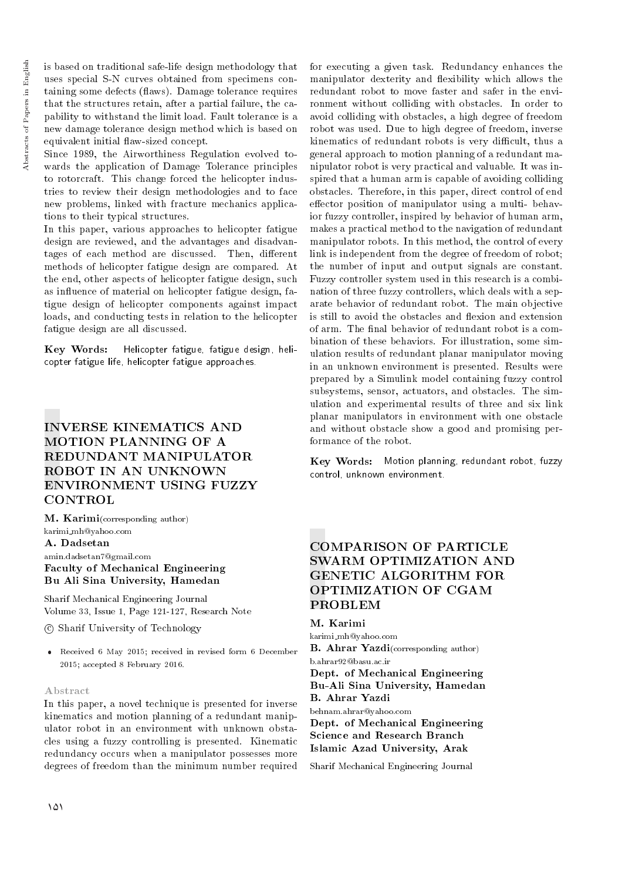is based on traditional safe-life design methodology that uses special S-N curves obtained from specimens containing some defects (flaws). Damage tolerance requires that the structures retain, after a partial failure, the capability to withstand the limit load. Fault tolerance is a new damage tolerance design method which is based on equivalent initial 
aw-sized concept.

Since 1989, the Airworthiness Regulation evolved towards the application of Damage Tolerance principles to rotorcraft. This change forced the helicopter industries to review their design methodologies and to face new problems, linked with fracture mechanics applications to their typical structures.

In this paper, various approaches to helicopter fatigue design are reviewed, and the advantages and disadvantages of each method are discussed. Then, different methods of helicopter fatigue design are compared. At the end, other aspects of helicopter fatigue design, such as in
uence of material on helicopter fatigue design, fatigue design of helicopter components against impact loads, and conducting tests in relation to the helicopter fatigue design are all discussed.

Key Words: Helicopter fatigue, fatigue design, helicopter fatigue life, helicopter fatigue approaches.

# INVERSE KINEMATICS AND MOTION PLANNING OF A REDUNDANT MANIPULATOR ROBOT IN AN UNKNOWN ENVIRONMENT USING FUZZY **CONTROL**

M. Karimi(corresponding author) karimi mh@yahoo.com A. Dadsetan amin.dadsetan7@gmail.com Faculty of Mechanical Engineering Bu Ali Sina University, Hamedan

Sharif Mechanical Engineering Journal Volume 33, Issue 1, Page 121-127, Research Note

c Sharif University of Technology

 Received 6 May 2015; received in revised form 6 December 2015; accepted 8 February 2016.

## Abstract

In this paper, a novel technique is presented for inverse kinematics and motion planning of a redundant manipulator robot in an environment with unknown obstacles using a fuzzy controlling is presented. Kinematic redundancy occurs when a manipulator possesses more degrees of freedom than the minimum number required

for executing a given task. Redundancy enhances the manipulator dexterity and flexibility which allows the redundant robot to move faster and safer in the environment without colliding with obstacles. In order to avoid colliding with obstacles, a high degree of freedom robot was used. Due to high degree of freedom, inverse kinematics of redundant robots is very difficult, thus a general approach to motion planning of a redundant manipulator robot is very practical and valuable. It was inspired that a human arm is capable of avoiding colliding obstacles. Therefore, in this paper, direct control of end effector position of manipulator using a multi-behavior fuzzy controller, inspired by behavior of human arm, makes a practical method to the navigation of redundant manipulator robots. In this method, the control of every link is independent from the degree of freedom of robot; the number of input and output signals are constant. Fuzzy controller system used in this research is a combination of three fuzzy controllers, which deals with a separate behavior of redundant robot. The main objective is still to avoid the obstacles and flexion and extension of arm. The final behavior of redundant robot is a combination of these behaviors. For illustration, some simulation results of redundant planar manipulator moving in an unknown environment is presented. Results were prepared by a Simulink model containing fuzzy control subsystems, sensor, actuators, and obstacles. The simulation and experimental results of three and six link planar manipulators in environment with one obstacle and without obstacle show a good and promising performance of the robot.

Key Words: Motion planning, redundant robot, fuzzycontrol, unknown environment.

# COMPARISON OF PARTICLE SWARM OPTIMIZATION AND GENETIC ALGORITHM FOR OPTIMIZATION OF CGAM PROBLEM

# M. Karimi

karimi mh@yahoo.com B. Ahrar Yazdi(corresponding author) b.ahrar92@basu.ac.ir

## Dept. of Mechanical Engineering Bu-Ali Sina University, Hamedan B. Ahrar Yazdi

behnam.ahrar@yahoo.com Dept. of Mechanical Engineering Science and Research Branch Islamic Azad University, Arak

Sharif Mechanical Engineering Journal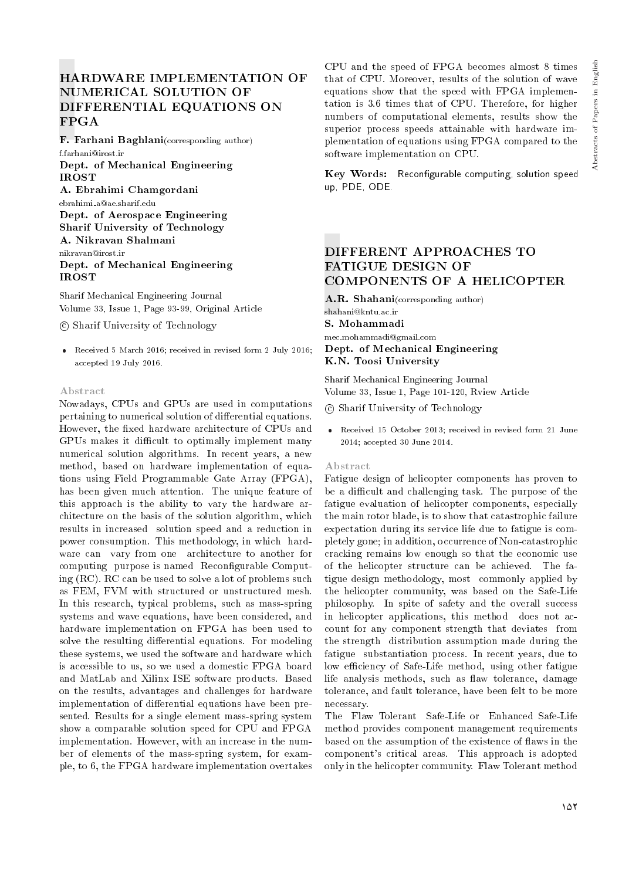# HARDWARE IMPLEMENTATION OF NUMERICAL SOLUTION OF DIFFERENTIAL EQUATIONS ON FPGA

F. Farhani Baghlani(corresponding author) f.farhani@irost.ir

Dept. of Mechanical Engineering IROST

A. Ebrahimi Chamgordani ebrahimi a@ae.sharif.edu

Dept. of Aerospace Engineering Sharif University of Technology A. Nikravan Shalmani nikravan@irost.ir Dept. of Mechanical Engineering IROST

Sharif Mechanical Engineering Journal Volume 33, Issue 1, Page 93-99, Original Article

c Sharif University of Technology

 Received 5 March 2016; received in revised form 2 July 2016; accepted 19 July 2016.

## Abstract

Nowadays, CPUs and GPUs are used in computations pertaining to numerical solution of differential equations. However, the fixed hardware architecture of CPUs and GPUs makes it difficult to optimally implement many numerical solution algorithms. In recent years, a new method, based on hardware implementation of equations using Field Programmable Gate Array (FPGA), has been given much attention. The unique feature of this approach is the ability to vary the hardware architecture on the basis of the solution algorithm, which results in increased solution speed and a reduction in power consumption. This methodology, in which hardware can vary from one architecture to another for computing purpose is named Reconfigurable Computing (RC). RC can be used to solve a lot of problems such as FEM, FVM with structured or unstructured mesh. In this research, typical problems, such as mass-spring systems and wave equations, have been considered, and hardware implementation on FPGA has been used to solve the resulting differential equations. For modeling these systems, we used the software and hardware which is accessible to us, so we used a domestic FPGA board and MatLab and Xilinx ISE software products. Based on the results, advantages and challenges for hardware implementation of differential equations have been presented. Results for a single element mass-spring system show a comparable solution speed for CPU and FPGA implementation. However, with an increase in the number of elements of the mass-spring system, for example, to 6, the FPGA hardware implementation overtakes

CPU and the speed of FPGA becomes almost 8 times that of CPU. Moreover, results of the solution of wave equations show that the speed with FPGA implementation is 3.6 times that of CPU. Therefore, for higher numbers of computational elements, results show the superior process speeds attainable with hardware implementation of equations using FPGA compared to the software implementation on CPU.

Key Words: Reconfigurable computing, solution speed up, PDE, ODE.

# DIFFERENT APPROACHES TO FATIGUE DESIGN OF COMPONENTS OF A HELICOPTER

A.R. Shahani(corresponding author) shahani@kntu.ac.ir S. Mohammadi mec.mohammadi@gmail.com Dept. of Mechanical Engineering K.N. Toosi University

Sharif Mechanical Engineering Journal Volume 33, Issue 1, Page 101-120, Rview Article

c Sharif University of Technology

 Received 15 October 2013; received in revised form 21 June 2014; accepted 30 June 2014.

## Abstract

Fatigue design of helicopter components has proven to be a difficult and challenging task. The purpose of the fatigue evaluation of helicopter components, especially the main rotor blade, is to show that catastrophic failure expectation during its service life due to fatigue is completely gone; in addition, occurrence of Non-catastrophic cracking remains low enough so that the economic use of the helicopter structure can be achieved. The fatigue design methodology, most commonly applied by the helicopter community, was based on the Safe-Life philosophy. In spite of safety and the overall success in helicopter applications, this method does not account for any component strength that deviates from the strength distribution assumption made during the fatigue substantiation process. In recent years, due to low efficiency of Safe-Life method, using other fatigue life analysis methods, such as flaw tolerance, damage tolerance, and fault tolerance, have been felt to be more necessary.

The Flaw Tolerant Safe-Life or Enhanced Safe-Life method provides component management requirements based on the assumption of the existence of flaws in the component's critical areas. This approach is adopted only in the helicopter community. Flaw Tolerant method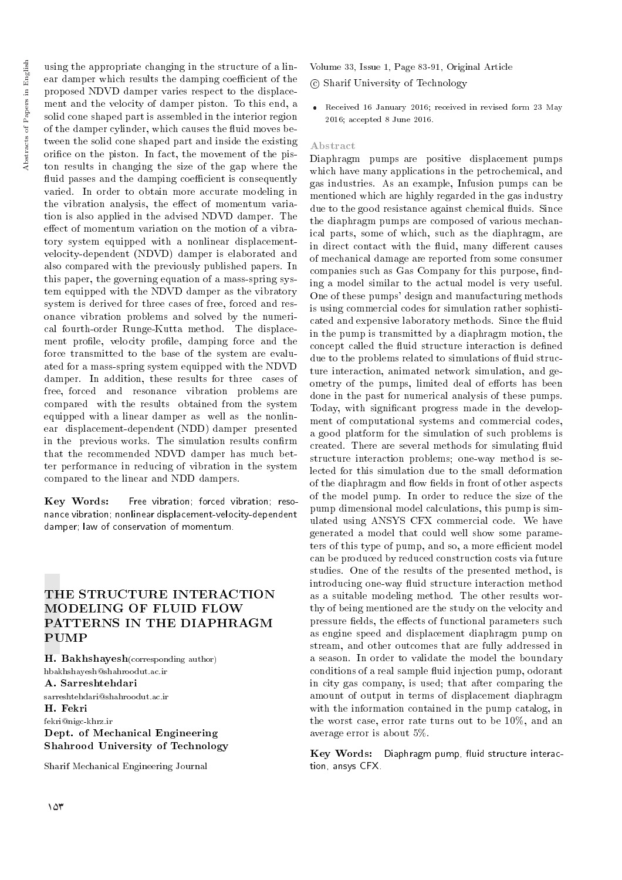using the appropriate changing in the structure of a linear damper which results the damping coefficient of the proposed NDVD damper varies respect to the displacement and the velocity of damper piston. To this end, a solid cone shaped part is assembled in the interior region of the damper cylinder, which causes the fluid moves between the solid cone shaped part and inside the existing orifice on the piston. In fact, the movement of the piston results in changing the size of the gap where the fluid passes and the damping coefficient is consequently varied. In order to obtain more accurate modeling in the vibration analysis, the effect of momentum variation is also applied in the advised NDVD damper. The effect of momentum variation on the motion of a vibratory system equipped with a nonlinear displacementvelocity-dependent (NDVD) damper is elaborated and also compared with the previously published papers. In this paper, the governing equation of a mass-spring system equipped with the NDVD damper as the vibratory system is derived for three cases of free, forced and resonance vibration problems and solved by the numerical fourth-order Runge-Kutta method. The displacement profile, velocity profile, damping force and the force transmitted to the base of the system are evaluated for a mass-spring system equipped with the NDVD damper. In addition, these results for three cases of free, forced and resonance vibration problems are compared with the results obtained from the system equipped with a linear damper as well as the nonlinear displacement-dependent (NDD) damper presented in the previous works. The simulation results confirm that the recommended NDVD damper has much better performance in reducing of vibration in the system compared to the linear and NDD dampers.

Key Words: nance vibration; nonlinear displacement-velocity-dependent damper; law of conservation of momentum. Free vibration; forced vibration; reso-

# THE STRUCTURE INTERACTION MODELING OF FLUID FLOW PATTERNS IN THE DIAPHRAGM **PUMP**

H. Bakhshayesh(corresponding author) hbakhshayesh@shahroodut.ac.ir A. Sarreshtehdari sarreshtehdari@shahroodut.ac.ir H. Fekri fekri@nigc-khrz.ir Dept. of Mechanical Engineering Shahrood University of Technology

Sharif Mechanical Engineering Journal

Volume 33, Issue 1, Page 83-91, Original Article

c Sharif University of Technology

 Received 16 January 2016; received in revised form 23 May 2016; accepted 8 June 2016.

## Abstract

Diaphragm pumps are positive displacement pumps which have many applications in the petrochemical, and gas industries. As an example, Infusion pumps can be mentioned which are highly regarded in the gas industry due to the good resistance against chemical fluids. Since the diaphragm pumps are composed of various mechanical parts, some of which, such as the diaphragm, are in direct contact with the fluid, many different causes of mechanical damage are reported from some consumer companies such as Gas Company for this purpose, finding a model similar to the actual model is very useful. One of these pumps' design and manufacturing methods is using commercial codes for simulation rather sophisticated and expensive laboratory methods. Since the fluid in the pump is transmitted by a diaphragm motion, the concept called the fluid structure interaction is defined due to the problems related to simulations of fluid structure interaction, animated network simulation, and geometry of the pumps, limited deal of efforts has been done in the past for numerical analysis of these pumps. Today, with signicant progress made in the development of computational systems and commercial codes, a good platform for the simulation of such problems is created. There are several methods for simulating fluid structure interaction problems; one-way method is selected for this simulation due to the small deformation of the diaphragm and flow fields in front of other aspects of the model pump. In order to reduce the size of the pump dimensional model calculations, this pump is simulated using ANSYS CFX commercial code. We have generated a model that could well show some parameters of this type of pump, and so, a more efficient model can be produced by reduced construction costs via future studies. One of the results of the presented method, is introducing one-way fluid structure interaction method as a suitable modeling method. The other results worthy of being mentioned are the study on the velocity and pressure fields, the effects of functional parameters such as engine speed and displacement diaphragm pump on stream, and other outcomes that are fully addressed in a season. In order to validate the model the boundary conditions of a real sample fluid injection pump, odorant in city gas company, is used; that after comparing the amount of output in terms of displacement diaphragm with the information contained in the pump catalog, in the worst case, error rate turns out to be 10%, and an average error is about 5%.

Key Words: Diaphragm pump, fluid structure interaction, ansys CFX.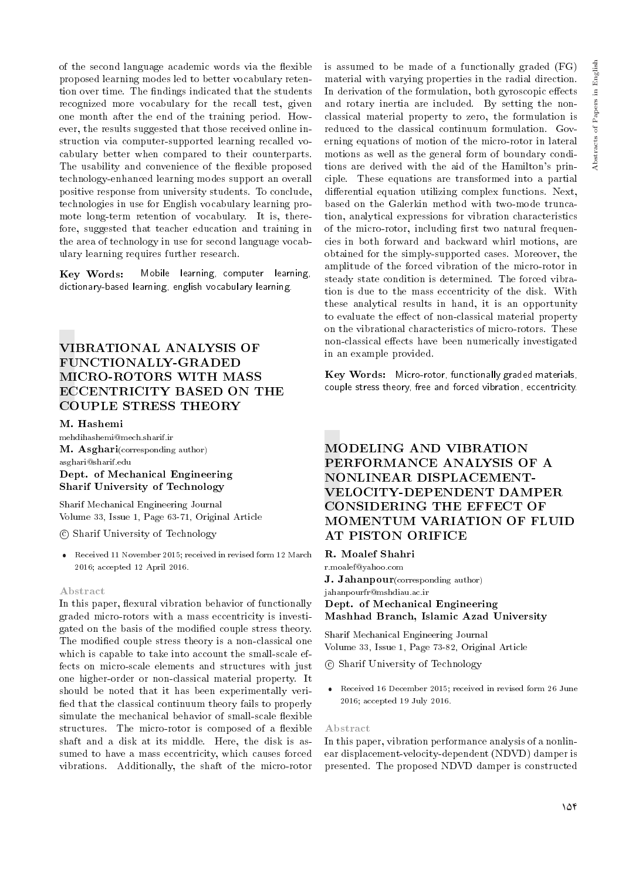of the second language academic words via the flexible proposed learning modes led to better vocabulary retention over time. The findings indicated that the students recognized more vocabulary for the recall test, given one month after the end of the training period. However, the results suggested that those received online instruction via computer-supported learning recalled vocabulary better when compared to their counterparts. The usability and convenience of the flexible proposed technology-enhanced learning modes support an overall positive response from university students. To conclude, technologies in use for English vocabulary learning promote long-term retention of vocabulary. It is, therefore, suggested that teacher education and training in the area of technology in use for second language vocabulary learning requires further research.

Key Words: dictionary-based learning, english vocabulary learning. Mobile learning, computer learning,

# VIBRATIONAL ANALYSIS OF FUNCTIONALLY-GRADED MICRO-ROTORS WITH MASS ECCENTRICITY BASED ON THE COUPLE STRESS THEORY

## M. Hashemi

mehdihashemi@mech.sharif.ir M. Asghari(corresponding author) asghari@sharif.edu Dept. of Mechanical Engineering Sharif University of Technology

Sharif Mechanical Engineering Journal Volume 33, Issue 1, Page 63-71, Original Article

## c Sharif University of Technology

 Received 11 November 2015; received in revised form 12 March 2016; accepted 12 April 2016.

## Abstract

In this paper, flexural vibration behavior of functionally graded micro-rotors with a mass eccentricity is investigated on the basis of the modied couple stress theory. The modified couple stress theory is a non-classical one which is capable to take into account the small-scale effects on micro-scale elements and structures with just one higher-order or non-classical material property. It should be noted that it has been experimentally veri fied that the classical continuum theory fails to properly simulate the mechanical behavior of small-scale flexible structures. The micro-rotor is composed of a flexible shaft and a disk at its middle. Here, the disk is assumed to have a mass eccentricity, which causes forced vibrations. Additionally, the shaft of the micro-rotor is assumed to be made of a functionally graded (FG) material with varying properties in the radial direction. In derivation of the formulation, both gyroscopic effects and rotary inertia are included. By setting the nonclassical material property to zero, the formulation is reduced to the classical continuum formulation. Governing equations of motion of the micro-rotor in lateral motions as well as the general form of boundary conditions are derived with the aid of the Hamilton's principle. These equations are transformed into a partial differential equation utilizing complex functions. Next, based on the Galerkin method with two-mode truncation, analytical expressions for vibration characteristics of the micro-rotor, including first two natural frequencies in both forward and backward whirl motions, are obtained for the simply-supported cases. Moreover, the amplitude of the forced vibration of the micro-rotor in steady state condition is determined. The forced vibration is due to the mass eccentricity of the disk. With these analytical results in hand, it is an opportunity to evaluate the effect of non-classical material property on the vibrational characteristics of micro-rotors. These non-classical effects have been numerically investigated in an example provided.

Key Words: Micro-rotor, functionally graded materials, couple stress theory, free and forced vibration, eccentricity.

# MODELING AND VIBRATION PERFORMANCE ANALYSIS OF A NONLINEAR DISPLACEMENT-VELOCITY-DEPENDENT DAMPER CONSIDERING THE EFFECT OF MOMENTUM VARIATION OF FLUID AT PISTON ORIFICE

## R. Moalef Shahri

r.moalef@yahoo.com J. Jahanpour(corresponding author) jahanpourfr@mshdiau.ac.ir Dept. of Mechanical Engineering Mashhad Branch, Islamic Azad University

Sharif Mechanical Engineering Journal Volume 33, Issue 1, Page 73-82, Original Article

c Sharif University of Technology

 Received 16 December 2015; received in revised form 26 June 2016; accepted 19 July 2016.

## Abstract

In this paper, vibration performance analysis of a nonlinear displacement-velocity-dependent (NDVD) damper is presented. The proposed NDVD damper is constructed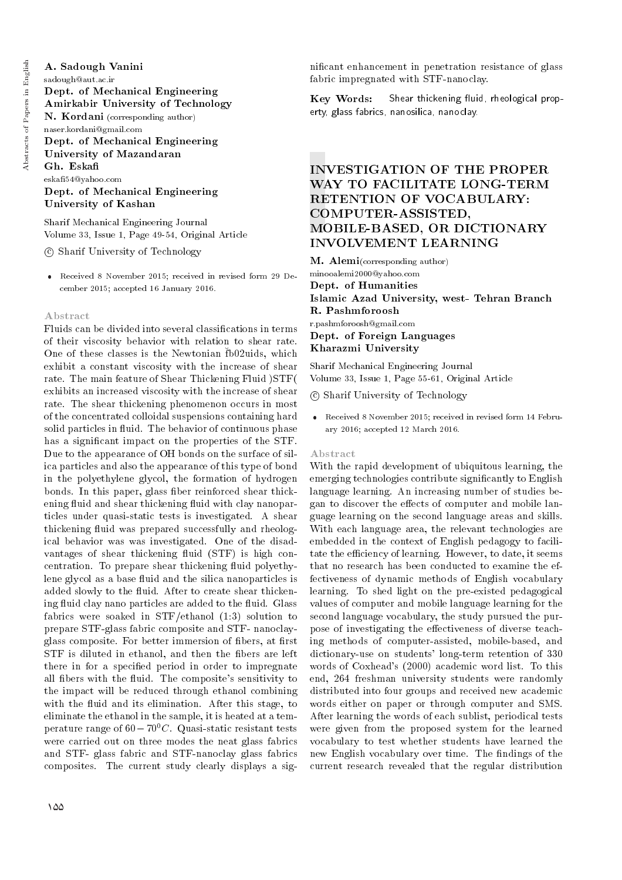# A. Sadough Vanini

sadough@aut.ac.ir Dept. of Mechanical Engineering Amirkabir University of Technology N. Kordani (corresponding author) naser.kordani@gmail.com Dept. of Mechanical Engineering University of Mazandaran

Gh. Eska eska54@yahoo.com Dept. of Mechanical Engineering University of Kashan

Sharif Mechanical Engineering Journal Volume 33, Issue 1, Page 49-54, Original Article

c Sharif University of Technology

 Received 8 November 2015; received in revised form 29 December 2015; accepted 16 January 2016.

# Abstract

Fluids can be divided into several classications in terms of their viscosity behavior with relation to shear rate. One of these classes is the Newtonian fb02uids, which exhibit a constant viscosity with the increase of shear rate. The main feature of Shear Thickening Fluid )STF( exhibits an increased viscosity with the increase of shear rate. The shear thickening phenomenon occurs in most of the concentrated colloidal suspensions containing hard solid particles in fluid. The behavior of continuous phase has a significant impact on the properties of the STF. Due to the appearance of OH bonds on the surface of silica particles and also the appearance of this type of bond in the polyethylene glycol, the formation of hydrogen bonds. In this paper, glass fiber reinforced shear thickening fluid and shear thickening fluid with clay nanoparticles under quasi-static tests is investigated. A shear thickening fluid was prepared successfully and rheological behavior was was investigated. One of the disadvantages of shear thickening fluid (STF) is high concentration. To prepare shear thickening fluid polyethylene glycol as a base fluid and the silica nanoparticles is added slowly to the fluid. After to create shear thickening fluid clay nano particles are added to the fluid. Glass fabrics were soaked in STF/ethanol (1:3) solution to prepare STF-glass fabric composite and STF- nanoclayglass composite. For better immersion of fibers, at first STF is diluted in ethanol, and then the fibers are left there in for a specied period in order to impregnate all fibers with the fluid. The composite's sensitivity to the impact will be reduced through ethanol combining with the fluid and its elimination. After this stage, to eliminate the ethanol in the sample, it is heated at a temperature range of  $60-70^0C$ . Quasi-static resistant tests were carried out on three modes the neat glass fabrics and STF- glass fabric and STF-nanoclay glass fabrics composites. The current study clearly displays a signicant enhancement in penetration resistance of glass fabric impregnated with STF-nanoclay.

Key Words: erty, glass fabrics, nanosilica, nanoclay. Shear thickening fluid, rheological prop-

# INVESTIGATION OF THE PROPER WAY TO FACILITATE LONG-TERM RETENTION OF VOCABULARY: COMPUTER-ASSISTED, MOBILE-BASED, OR DICTIONARY INVOLVEMENT LEARNING

M. Alemi(corresponding author) minooalemi2000@yahoo.com Dept. of Humanities Islamic Azad University, west- Tehran Branch R. Pashmforoosh r.pashmforoosh@gmail.com Dept. of Foreign Languages Kharazmi University

Sharif Mechanical Engineering Journal Volume 33, Issue 1, Page 55-61, Original Article

c Sharif University of Technology

 Received 8 November 2015; received in revised form 14 February 2016; accepted 12 March 2016.

### Abstract

With the rapid development of ubiquitous learning, the emerging technologies contribute signicantly to English language learning. An increasing number of studies began to discover the effects of computer and mobile language learning on the second language areas and skills. With each language area, the relevant technologies are embedded in the context of English pedagogy to facilitate the efficiency of learning. However, to date, it seems that no research has been conducted to examine the effectiveness of dynamic methods of English vocabulary learning. To shed light on the pre-existed pedagogical values of computer and mobile language learning for the second language vocabulary, the study pursued the purpose of investigating the effectiveness of diverse teaching methods of computer-assisted, mobile-based, and dictionary-use on students' long-term retention of 330 words of Coxhead's (2000) academic word list. To this end, 264 freshman university students were randomly distributed into four groups and received new academic words either on paper or through computer and SMS. After learning the words of each sublist, periodical tests were given from the proposed system for the learned vocabulary to test whether students have learned the new English vocabulary over time. The findings of the current research revealed that the regular distribution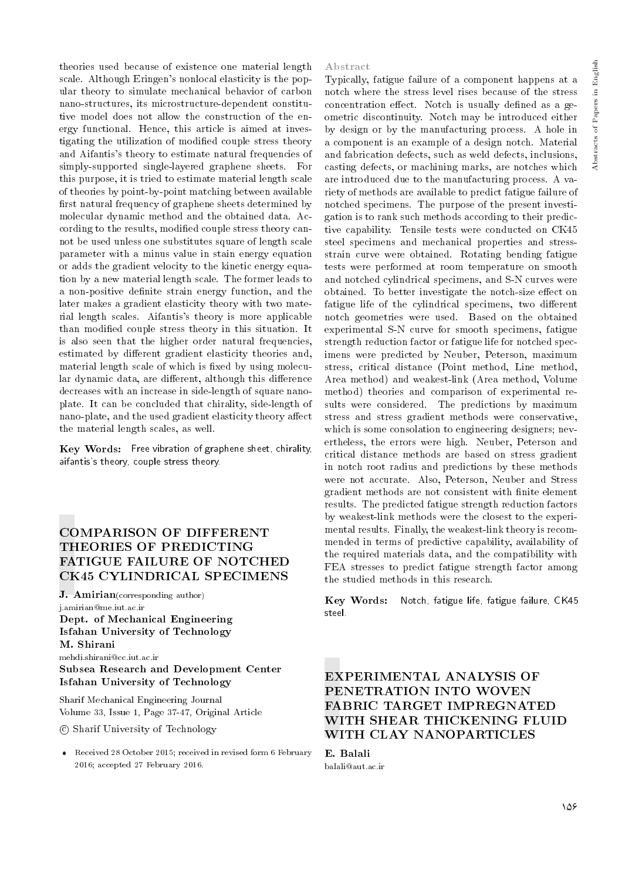theories used because of existence one material length scale. Although Eringen's nonlocal elasticity is the popular theory to simulate mechanical behavior of carbon nano-structures, its microstructure-dependent constitutive model does not allow the construction of the energy functional. Hence, this article is aimed at investigating the utilization of modied couple stress theory and Aifantis's theory to estimate natural frequencies of simply-supported single-layered graphene sheets. For this purpose, it is tried to estimate material length scale of theories by point-by-point matching between available first natural frequency of graphene sheets determined by molecular dynamic method and the obtained data. According to the results, modified couple stress theory cannot be used unless one substitutes square of length scale parameter with a minus value in stain energy equation or adds the gradient velocity to the kinetic energy equation by a new material length scale. The former leads to a non-positive definite strain energy function, and the later makes a gradient elasticity theory with two material length scales. Aifantis's theory is more applicable than modied couple stress theory in this situation. It is also seen that the higher order natural frequencies, estimated by different gradient elasticity theories and, material length scale of which is fixed by using molecular dynamic data, are different, although this difference decreases with an increase in side-length of square nanoplate. It can be concluded that chirality, side-length of nano-plate, and the used gradient elasticity theory affect the material length scales, as well.

 $\bf{Key\ Words:}\;$  Free vibration of graphene sheet, chirality, aifantis's theory, couple stress theory.

# COMPARISON OF DIFFERENT THEORIES OF PREDICTING FATIGUE FAILURE OF NOTCHED CK45 CYLINDRICAL SPECIMENS

J. Amirian(corresponding author) j.amirian@me.iut.ac.ir Dept. of Mechanical Engineering Isfahan University of Technology M. Shirani mehdi.shirani@cc.iut.ac.ir Subsea Research and Development Center Isfahan University of Technology

Sharif Mechanical Engineering Journal Volume 33, Issue 1, Page 37-47, Original Article

c Sharif University of Technology

 Received 28 October 2015; received in revised form 6 February 2016; accepted 27 February 2016.

### Abstract

Typically, fatigue failure of a component happens at a notch where the stress level rises because of the stress concentration effect. Notch is usually defined as a geometric discontinuity. Notch may be introduced either by design or by the manufacturing process. A hole in a component is an example of a design notch. Material and fabrication defects, such as weld defects, inclusions, casting defects, or machining marks, are notches which are introduced due to the manufacturing process. A variety of methods are available to predict fatigue failure of notched specimens. The purpose of the present investigation is to rank such methods according to their predictive capability. Tensile tests were conducted on CK45 steel specimens and mechanical properties and stressstrain curve were obtained. Rotating bending fatigue tests were performed at room temperature on smooth and notched cylindrical specimens, and S-N curves were obtained. To better investigate the notch-size effect on fatigue life of the cylindrical specimens, two different notch geometries were used. Based on the obtained experimental S-N curve for smooth specimens, fatigue strength reduction factor or fatigue life for notched specimens were predicted by Neuber, Peterson, maximum stress, critical distance (Point method, Line method, Area method) and weakest-link (Area method, Volume method) theories and comparison of experimental results were considered. The predictions by maximum stress and stress gradient methods were conservative, which is some consolation to engineering designers; nevertheless, the errors were high. Neuber, Peterson and critical distance methods are based on stress gradient in notch root radius and predictions by these methods were not accurate. Also, Peterson, Neuber and Stress gradient methods are not consistent with nite element results. The predicted fatigue strength reduction factors by weakest-link methods were the closest to the experimental results. Finally, the weakest-link theory is recommended in terms of predictive capability, availability of the required materials data, and the compatibility with FEA stresses to predict fatigue strength factor among the studied methods in this research.

Key Words: Notch, fatigue life, fatigue failure, CK45 steel.

# EXPERIMENTAL ANALYSIS OF PENETRATION INTO WOVEN FABRIC TARGET IMPREGNATED WITH SHEAR THICKENING FLUID WITH CLAY NANOPARTICLES

E. Balali balali@aut.ac.ir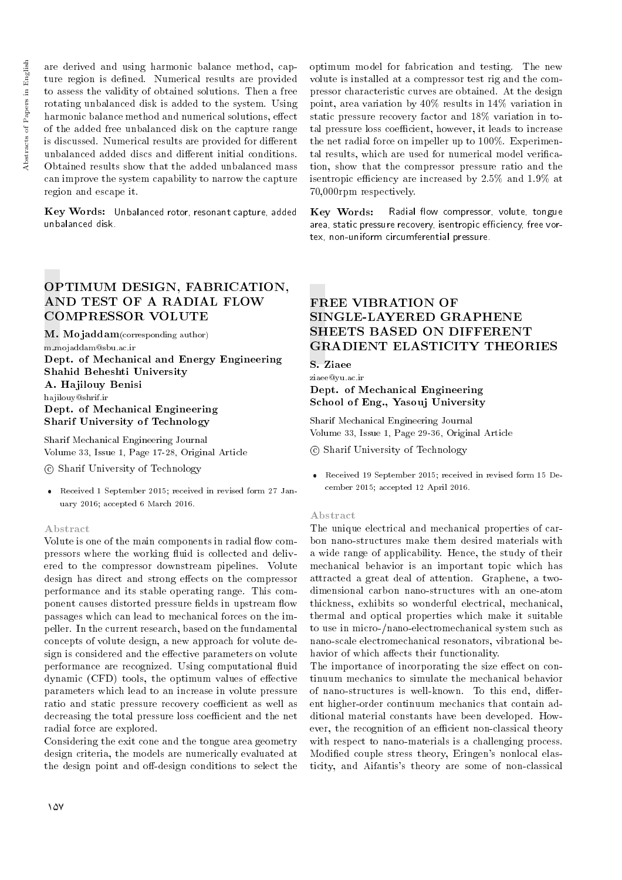are derived and using harmonic balance method, capture region is defined. Numerical results are provided to assess the validity of obtained solutions. Then a free rotating unbalanced disk is added to the system. Using harmonic balance method and numerical solutions, effect of the added free unbalanced disk on the capture range is discussed. Numerical results are provided for different unbalanced added discs and different initial conditions. Obtained results show that the added unbalanced mass can improve the system capability to narrow the capture region and escape it.

 ${\bf Key~Words:}$  Unbalanced rotor, resonant capture, added  $\bf\equiv Key~Words:}$  Radial flow compressor, volute, tongue unbalanced disk.

# OPTIMUM DESIGN, FABRICATION, AND TEST OF A RADIAL FLOW COMPRESSOR VOLUTE

M. Mojaddam(corresponding author) m mojaddam@sbu.ac.ir Dept. of Mechanical and Energy Engineering Shahid Beheshti University A. Hajilouy Benisi hajilouy@shrif.ir Dept. of Mechanical Engineering Sharif University of Technology

Sharif Mechanical Engineering Journal Volume 33, Issue 1, Page 17-28, Original Article

c Sharif University of Technology

 Received 1 September 2015; received in revised form 27 January 2016; accepted 6 March 2016.

## Abstract

Volute is one of the main components in radial flow compressors where the working fluid is collected and delivered to the compressor downstream pipelines. Volute design has direct and strong effects on the compressor performance and its stable operating range. This component causes distorted pressure fields in upstream flow passages which can lead to mechanical forces on the impeller. In the current research, based on the fundamental concepts of volute design, a new approach for volute design is considered and the effective parameters on volute performance are recognized. Using computational fluid dynamic (CFD) tools, the optimum values of effective parameters which lead to an increase in volute pressure ratio and static pressure recovery coefficient as well as decreasing the total pressure loss coefficient and the net radial force are explored.

Considering the exit cone and the tongue area geometry design criteria, the models are numerically evaluated at the design point and off-design conditions to select the

optimum model for fabrication and testing. The new volute is installed at a compressor test rig and the compressor characteristic curves are obtained. At the design point, area variation by 40% results in 14% variation in static pressure recovery factor and 18% variation in total pressure loss coefficient, however, it leads to increase the net radial force on impeller up to 100%. Experimental results, which are used for numerical model verification, show that the compressor pressure ratio and the isentropic efficiency are increased by  $2.5\%$  and  $1.9\%$  at 70,000rpm respectively.

Key Words: area, static pressure recovery, isentropic efficiency, free vortex, non-uniform circumferential pressure.

# FREE VIBRATION OF SINGLE-LAYERED GRAPHENE SHEETS BASED ON DIFFERENT GRADIENT ELASTICITY THEORIES

S. Ziaee

## ziaee@yu.ac.ir Dept. of Mechanical Engineering School of Eng., Yasouj University

Sharif Mechanical Engineering Journal Volume 33, Issue 1, Page 29-36, Original Article

c Sharif University of Technology

 Received 19 September 2015; received in revised form 15 December 2015; accepted 12 April 2016.

### Abstract

The unique electrical and mechanical properties of carbon nano-structures make them desired materials with a wide range of applicability. Hence, the study of their mechanical behavior is an important topic which has attracted a great deal of attention. Graphene, a twodimensional carbon nano-structures with an one-atom thickness, exhibits so wonderful electrical, mechanical, thermal and optical properties which make it suitable to use in micro-/nano-electromechanical system such as nano-scale electromechanical resonators, vibrational behavior of which affects their functionality.

The importance of incorporating the size effect on continuum mechanics to simulate the mechanical behavior of nano-structures is well-known. To this end, different higher-order continuum mechanics that contain additional material constants have been developed. However, the recognition of an efficient non-classical theory with respect to nano-materials is a challenging process. Modied couple stress theory, Eringen's nonlocal elasticity, and Aifantis's theory are some of non-classical